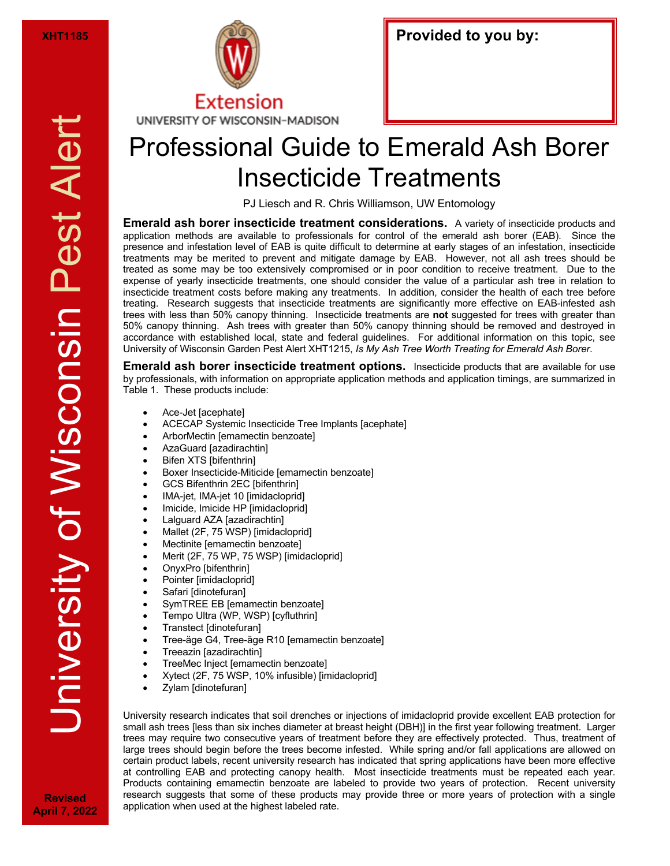

| <b>Provided to you by:</b> |  |  |
|----------------------------|--|--|
|----------------------------|--|--|

## Professional Guide to Emerald Ash Borer Insecticide Treatments

PJ Liesch and R. Chris Williamson, UW Entomology

**Emerald ash borer insecticide treatment considerations.** A variety of insecticide products and application methods are available to professionals for control of the emerald ash borer (EAB). Since the presence and infestation level of EAB is quite difficult to determine at early stages of an infestation, insecticide treatments may be merited to prevent and mitigate damage by EAB. However, not all ash trees should be treated as some may be too extensively compromised or in poor condition to receive treatment. Due to the expense of yearly insecticide treatments, one should consider the value of a particular ash tree in relation to insecticide treatment costs before making any treatments. In addition, consider the health of each tree before treating. Research suggests that insecticide treatments are significantly more effective on EAB-infested ash trees with less than 50% canopy thinning. Insecticide treatments are **not** suggested for trees with greater than 50% canopy thinning. Ash trees with greater than 50% canopy thinning should be removed and destroyed in accordance with established local, state and federal guidelines. For additional information on this topic, see University of Wisconsin Garden Pest Alert XHT1215, *Is My Ash Tree Worth Treating for Emerald Ash Borer*.

**Emerald ash borer insecticide treatment options.** Insecticide products that are available for use by professionals, with information on appropriate application methods and application timings, are summarized in Table 1. These products include:

- Ace-Jet [acephate]
- ACECAP Systemic Insecticide Tree Implants [acephate]
- ArborMectin [emamectin benzoate]
- AzaGuard [azadirachtin]
- **Bifen XTS [bifenthrin]**
- Boxer Insecticide-Miticide [emamectin benzoate]
- GCS Bifenthrin 2EC [bifenthrin]
- IMA-jet, IMA-jet 10 [imidacloprid]
- Imicide, Imicide HP [imidacloprid]
- Lalguard AZA [azadirachtin]
- Mallet (2F, 75 WSP) [imidacloprid]
- Mectinite [emamectin benzoate]
- Merit (2F, 75 WP, 75 WSP) [imidacloprid]
- OnyxPro [bifenthrin]
- Pointer [imidacloprid]
- Safari [dinotefuran]
- SymTREE EB [emamectin benzoate]
- Tempo Ultra (WP, WSP) [cyfluthrin]
- Transtect [dinotefuran]
- Tree-äge G4, Tree-äge R10 [emamectin benzoate]
- Treeazin [azadirachtin]
- TreeMec Inject [emamectin benzoate]
- Xytect (2F, 75 WSP, 10% infusible) [imidacloprid]
- Zylam [dinotefuran]

University research indicates that soil drenches or injections of imidacloprid provide excellent EAB protection for small ash trees [less than six inches diameter at breast height (DBH)] in the first year following treatment. Larger trees may require two consecutive years of treatment before they are effectively protected. Thus, treatment of large trees should begin before the trees become infested. While spring and/or fall applications are allowed on certain product labels, recent university research has indicated that spring applications have been more effective at controlling EAB and protecting canopy health. Most insecticide treatments must be repeated each year. Products containing emamectin benzoate are labeled to provide two years of protection. Recent university research suggests that some of these products may provide three or more years of protection with a single application when used at the highest labeled rate.

**Revised April 7, 2022**